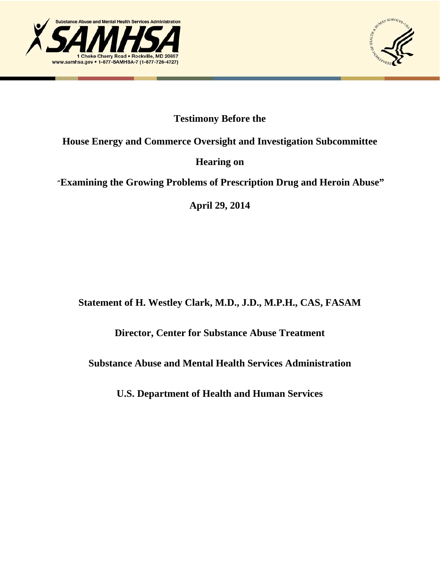



# **Testimony Before the**

# **House Energy and Commerce Oversight and Investigation Subcommittee**

# **Hearing on**

# "**Examining the Growing Problems of Prescription Drug and Heroin Abuse"**

**April 29, 2014** 

# **Statement of H. Westley Clark, M.D., J.D., M.P.H., CAS, FASAM**

# **Director, Center for Substance Abuse Treatment**

### **Substance Abuse and Mental Health Services Administration**

**U.S. Department of Health and Human Services**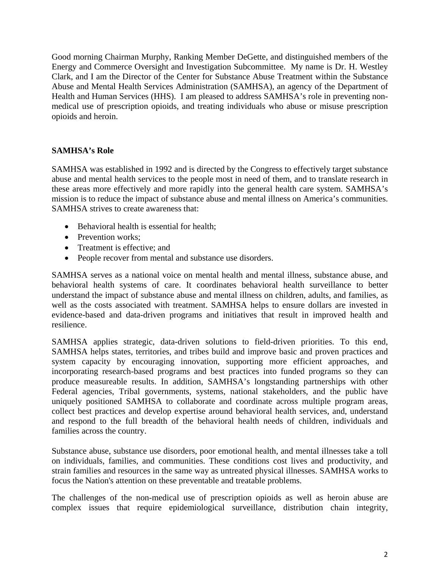Good morning Chairman Murphy, Ranking Member DeGette, and distinguished members of the Energy and Commerce Oversight and Investigation Subcommittee. My name is Dr. H. Westley Clark, and I am the Director of the Center for Substance Abuse Treatment within the Substance Abuse and Mental Health Services Administration (SAMHSA), an agency of the Department of Health and Human Services (HHS). I am pleased to address SAMHSA's role in preventing nonmedical use of prescription opioids, and treating individuals who abuse or misuse prescription opioids and heroin.

#### **SAMHSA's Role**

SAMHSA was established in 1992 and is directed by the Congress to effectively target substance abuse and mental health services to the people most in need of them, and to translate research in these areas more effectively and more rapidly into the general health care system. SAMHSA's mission is to reduce the impact of substance abuse and mental illness on America's communities. SAMHSA strives to create awareness that:

- Behavioral health is essential for health;
- Prevention works:
- Treatment is effective; and
- People recover from mental and substance use disorders.

SAMHSA serves as a national voice on mental health and mental illness, substance abuse, and behavioral health systems of care. It coordinates behavioral health surveillance to better understand the impact of substance abuse and mental illness on children, adults, and families, as well as the costs associated with treatment. SAMHSA helps to ensure dollars are invested in evidence-based and data-driven programs and initiatives that result in improved health and resilience.

SAMHSA applies strategic, data-driven solutions to field-driven priorities. To this end, SAMHSA helps states, territories, and tribes build and improve basic and proven practices and system capacity by encouraging innovation, supporting more efficient approaches, and incorporating research-based programs and best practices into funded programs so they can produce measureable results. In addition, SAMHSA's longstanding partnerships with other Federal agencies, Tribal governments, systems, national stakeholders, and the public have uniquely positioned SAMHSA to collaborate and coordinate across multiple program areas, collect best practices and develop expertise around behavioral health services, and, understand and respond to the full breadth of the behavioral health needs of children, individuals and families across the country.

Substance abuse, substance use disorders, poor emotional health, and mental illnesses take a toll on individuals, families, and communities. These conditions cost lives and productivity, and strain families and resources in the same way as untreated physical illnesses. SAMHSA works to focus the Nation's attention on these preventable and treatable problems.

The challenges of the non-medical use of prescription opioids as well as heroin abuse are complex issues that require epidemiological surveillance, distribution chain integrity,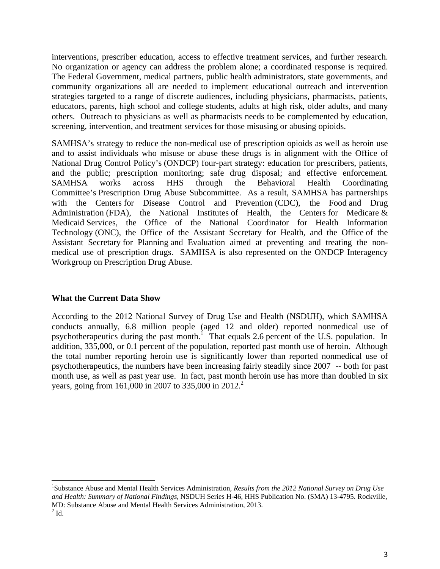interventions, prescriber education, access to effective treatment services, and further research. No organization or agency can address the problem alone; a coordinated response is required. The Federal Government, medical partners, public health administrators, state governments, and community organizations all are needed to implement educational outreach and intervention strategies targeted to a range of discrete audiences, including physicians, pharmacists, patients, educators, parents, high school and college students, adults at high risk, older adults, and many others. Outreach to physicians as well as pharmacists needs to be complemented by education, screening, intervention, and treatment services for those misusing or abusing opioids.

SAMHSA's strategy to reduce the non-medical use of prescription opioids as well as heroin use and to assist individuals who misuse or abuse these drugs is in alignment with the Office of National Drug Control Policy's (ONDCP) four-part strategy: education for prescribers, patients, and the public; prescription monitoring; safe drug disposal; and effective enforcement. SAMHSA works across HHS through the Behavioral Health Coordinating Committee's Prescription Drug Abuse Subcommittee. As a result, SAMHSA has partnerships with the Centers for Disease Control and Prevention (CDC), the Food and Drug Administration (FDA), the National Institutes of Health, the Centers for Medicare  $\&$ Medicaid Services, the Office of the National Coordinator for Health Information Technology (ONC), the Office of the Assistant Secretary for Health, and the Office of the Assistant Secretary for Planning and Evaluation aimed at preventing and treating the nonmedical use of prescription drugs. SAMHSA is also represented on the ONDCP Interagency Workgroup on Prescription Drug Abuse.

#### **What the Current Data Show**

According to the 2012 National Survey of Drug Use and Health (NSDUH), which SAMHSA conducts annually, 6.8 million people (aged 12 and older) reported nonmedical use of psychotherapeutics during the past month.<sup>1</sup> That equals 2.6 percent of the U.S. population. In addition, 335,000, or 0.1 percent of the population, reported past month use of heroin. Although the total number reporting heroin use is significantly lower than reported nonmedical use of psychotherapeutics, the numbers have been increasing fairly steadily since 2007 -- both for past month use, as well as past year use. In fact, past month heroin use has more than doubled in six years, going from 161,000 in 2007 to 335,000 in 2012.<sup>2</sup>

<sup>1</sup> Substance Abuse and Mental Health Services Administration, *Results from the 2012 National Survey on Drug Use and Health: Summary of National Findings*, NSDUH Series H-46, HHS Publication No. (SMA) 13-4795. Rockville, MD: Substance Abuse and Mental Health Services Administration, 2013.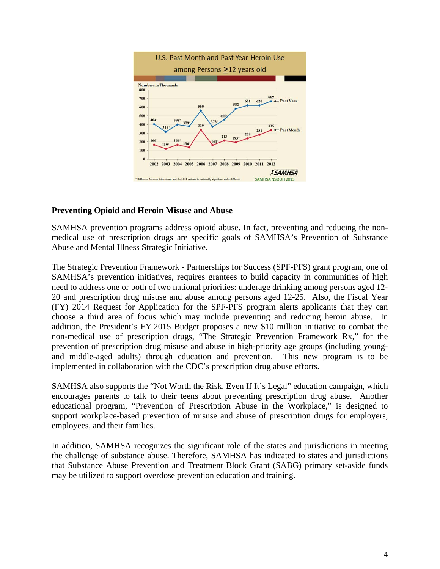

#### **Preventing Opioid and Heroin Misuse and Abuse**

SAMHSA prevention programs address opioid abuse. In fact, preventing and reducing the nonmedical use of prescription drugs are specific goals of SAMHSA's Prevention of Substance Abuse and Mental Illness Strategic Initiative.

The Strategic Prevention Framework - Partnerships for Success (SPF-PFS) grant program, one of SAMHSA's prevention initiatives, requires grantees to build capacity in communities of high need to address one or both of two national priorities: underage drinking among persons aged 12- 20 and prescription drug misuse and abuse among persons aged 12-25. Also, the Fiscal Year (FY) 2014 Request for Application for the SPF-PFS program alerts applicants that they can choose a third area of focus which may include preventing and reducing heroin abuse. In addition, the President's FY 2015 Budget proposes a new \$10 million initiative to combat the non-medical use of prescription drugs, "The Strategic Prevention Framework Rx," for the prevention of prescription drug misuse and abuse in high-priority age groups (including youngand middle-aged adults) through education and prevention. This new program is to be implemented in collaboration with the CDC's prescription drug abuse efforts.

SAMHSA also supports the "Not Worth the Risk, Even If It's Legal" education campaign, which encourages parents to talk to their teens about preventing prescription drug abuse. Another educational program, "Prevention of Prescription Abuse in the Workplace," is designed to support workplace-based prevention of misuse and abuse of prescription drugs for employers, employees, and their families.

In addition, SAMHSA recognizes the significant role of the states and jurisdictions in meeting the challenge of substance abuse. Therefore, SAMHSA has indicated to states and jurisdictions that Substance Abuse Prevention and Treatment Block Grant (SABG) primary set-aside funds may be utilized to support overdose prevention education and training.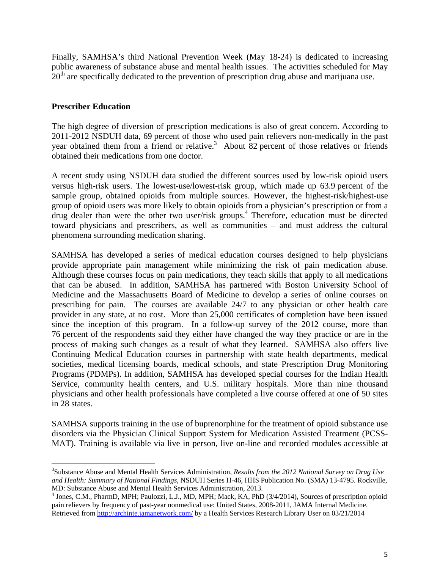Finally, SAMHSA's third National Prevention Week (May 18-24) is dedicated to increasing public awareness of substance abuse and mental health issues. The activities scheduled for May  $20<sup>th</sup>$  are specifically dedicated to the prevention of prescription drug abuse and marijuana use.

### **Prescriber Education**

The high degree of diversion of prescription medications is also of great concern. According to 2011-2012 NSDUH data, 69 percent of those who used pain relievers non-medically in the past year obtained them from a friend or relative.<sup>3</sup> About 82 percent of those relatives or friends obtained their medications from one doctor.

A recent study using NSDUH data studied the different sources used by low-risk opioid users versus high-risk users. The lowest-use/lowest-risk group, which made up 63.9 percent of the sample group, obtained opioids from multiple sources. However, the highest-risk/highest-use group of opioid users was more likely to obtain opioids from a physician's prescription or from a drug dealer than were the other two user/risk groups.<sup>4</sup> Therefore, education must be directed toward physicians and prescribers, as well as communities – and must address the cultural phenomena surrounding medication sharing.

SAMHSA has developed a series of medical education courses designed to help physicians provide appropriate pain management while minimizing the risk of pain medication abuse. Although these courses focus on pain medications, they teach skills that apply to all medications that can be abused. In addition, SAMHSA has partnered with Boston University School of Medicine and the Massachusetts Board of Medicine to develop a series of online courses on prescribing for pain. The courses are available 24/7 to any physician or other health care provider in any state, at no cost. More than 25,000 certificates of completion have been issued since the inception of this program. In a follow-up survey of the 2012 course, more than 76 percent of the respondents said they either have changed the way they practice or are in the process of making such changes as a result of what they learned. SAMHSA also offers live Continuing Medical Education courses in partnership with state health departments, medical societies, medical licensing boards, medical schools, and state Prescription Drug Monitoring Programs (PDMPs). In addition, SAMHSA has developed special courses for the Indian Health Service, community health centers, and U.S. military hospitals. More than nine thousand physicians and other health professionals have completed a live course offered at one of 50 sites in 28 states.

SAMHSA supports training in the use of buprenorphine for the treatment of opioid substance use disorders via the Physician Clinical Support System for Medication Assisted Treatment (PCSS-MAT). Training is available via live in person, live on-line and recorded modules accessible at

<sup>3</sup> Substance Abuse and Mental Health Services Administration, *Results from the 2012 National Survey on Drug Use and Health: Summary of National Findings*, NSDUH Series H-46, HHS Publication No. (SMA) 13-4795. Rockville, MD: Substance Abuse and Mental Health Services Administration, 2013.

<sup>&</sup>lt;sup>4</sup> Jones, C.M., PharmD, MPH; Paulozzi, L.J., MD, MPH; Mack, KA, PhD (3/4/2014), Sources of prescription opioid pain relievers by frequency of past-year nonmedical use: United States, 2008-2011, JAMA Internal Medicine. Retrieved from http://archinte.jamanetwork.com/ by a Health Services Research Library User on 03/21/2014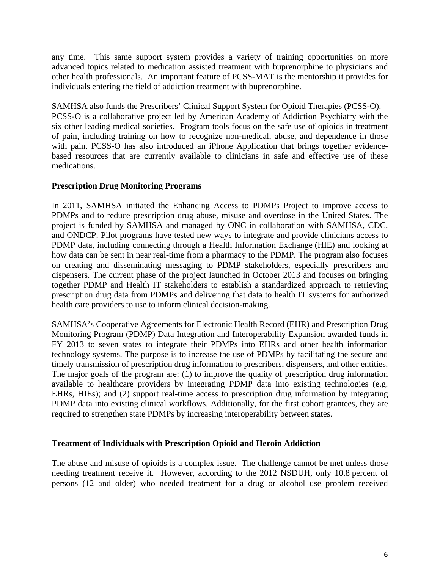any time. This same support system provides a variety of training opportunities on more advanced topics related to medication assisted treatment with buprenorphine to physicians and other health professionals. An important feature of PCSS-MAT is the mentorship it provides for individuals entering the field of addiction treatment with buprenorphine.

SAMHSA also funds the Prescribers' Clinical Support System for Opioid Therapies (PCSS-O). PCSS-O is a collaborative project led by American Academy of Addiction Psychiatry with the six other leading medical societies. Program tools focus on the safe use of opioids in treatment of pain, including training on how to recognize non-medical, abuse, and dependence in those with pain. PCSS-O has also introduced an iPhone Application that brings together evidencebased resources that are currently available to clinicians in safe and effective use of these medications.

### **Prescription Drug Monitoring Programs**

In 2011, SAMHSA initiated the Enhancing Access to PDMPs Project to improve access to PDMPs and to reduce prescription drug abuse, misuse and overdose in the United States. The project is funded by SAMHSA and managed by ONC in collaboration with SAMHSA, CDC, and ONDCP. Pilot programs have tested new ways to integrate and provide clinicians access to PDMP data, including connecting through a Health Information Exchange (HIE) and looking at how data can be sent in near real-time from a pharmacy to the PDMP. The program also focuses on creating and disseminating messaging to PDMP stakeholders, especially prescribers and dispensers. The current phase of the project launched in October 2013 and focuses on bringing together PDMP and Health IT stakeholders to establish a standardized approach to retrieving prescription drug data from PDMPs and delivering that data to health IT systems for authorized health care providers to use to inform clinical decision-making.

SAMHSA's Cooperative Agreements for Electronic Health Record (EHR) and Prescription Drug Monitoring Program (PDMP) Data Integration and Interoperability Expansion awarded funds in FY 2013 to seven states to integrate their PDMPs into EHRs and other health information technology systems. The purpose is to increase the use of PDMPs by facilitating the secure and timely transmission of prescription drug information to prescribers, dispensers, and other entities. The major goals of the program are: (1) to improve the quality of prescription drug information available to healthcare providers by integrating PDMP data into existing technologies (e.g. EHRs, HIEs); and (2) support real-time access to prescription drug information by integrating PDMP data into existing clinical workflows. Additionally, for the first cohort grantees, they are required to strengthen state PDMPs by increasing interoperability between states.

#### **Treatment of Individuals with Prescription Opioid and Heroin Addiction**

The abuse and misuse of opioids is a complex issue. The challenge cannot be met unless those needing treatment receive it. However, according to the 2012 NSDUH, only 10.8 percent of persons (12 and older) who needed treatment for a drug or alcohol use problem received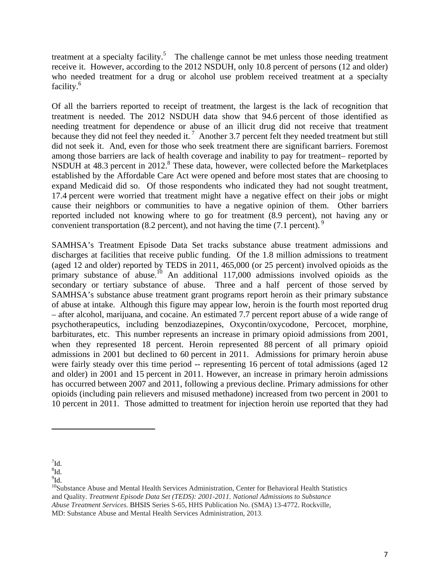treatment at a specialty facility.<sup>5</sup> The challenge cannot be met unless those needing treatment receive it. However, according to the 2012 NSDUH, only 10.8 percent of persons (12 and older) who needed treatment for a drug or alcohol use problem received treatment at a specialty facility.<sup>6</sup>

Of all the barriers reported to receipt of treatment, the largest is the lack of recognition that treatment is needed. The 2012 NSDUH data show that 94.6 percent of those identified as needing treatment for dependence or abuse of an illicit drug did not receive that treatment because they did not feel they needed it.<sup>7</sup> Another 3.7 percent felt they needed treatment but still did not seek it. And, even for those who seek treatment there are significant barriers. Foremost among those barriers are lack of health coverage and inability to pay for treatment– reported by NSDUH at 48.3 percent in 2012.<sup>8</sup> These data, however, were collected before the Marketplaces established by the Affordable Care Act were opened and before most states that are choosing to expand Medicaid did so. Of those respondents who indicated they had not sought treatment, 17.4 percent were worried that treatment might have a negative effect on their jobs or might cause their neighbors or communities to have a negative opinion of them. Other barriers reported included not knowing where to go for treatment (8.9 percent), not having any or convenient transportation (8.2 percent), and not having the time  $(7.1 \text{ percent})$ .

SAMHSA's Treatment Episode Data Set tracks substance abuse treatment admissions and discharges at facilities that receive public funding. Of the 1.8 million admissions to treatment (aged 12 and older) reported by TEDS in 2011, 465,000 (or 25 percent) involved opioids as the primary substance of abuse.<sup>10</sup> An additional  $117,000$  admissions involved opioids as the secondary or tertiary substance of abuse. Three and a half percent of those served by SAMHSA's substance abuse treatment grant programs report heroin as their primary substance of abuse at intake. Although this figure may appear low, heroin is the fourth most reported drug – after alcohol, marijuana, and cocaine. An estimated 7.7 percent report abuse of a wide range of psychotherapeutics, including benzodiazepines, Oxycontin/oxycodone, Percocet, morphine, barbiturates, etc. This number represents an increase in primary opioid admissions from 2001, when they represented 18 percent. Heroin represented 88 percent of all primary opioid admissions in 2001 but declined to 60 percent in 2011. Admissions for primary heroin abuse were fairly steady over this time period -- representing 16 percent of total admissions (aged 12 and older) in 2001 and 15 percent in 2011. However, an increase in primary heroin admissions has occurred between 2007 and 2011, following a previous decline. Primary admissions for other opioids (including pain relievers and misused methadone) increased from two percent in 2001 to 10 percent in 2011. Those admitted to treatment for injection heroin use reported that they had

 $\mathrm{^{7}\mathrm{Id}.}$ 

 ${}^{8}$ Id.

 $^{9}$ Id.

<sup>&</sup>lt;sup>10</sup>Substance Abuse and Mental Health Services Administration, Center for Behavioral Health Statistics and Quality. *Treatment Episode Data Set (TEDS): 2001-2011. National Admissions to Substance Abuse Treatment Services.* BHSIS Series S-65, HHS Publication No. (SMA) 13-4772. Rockville, MD: Substance Abuse and Mental Health Services Administration, 2013.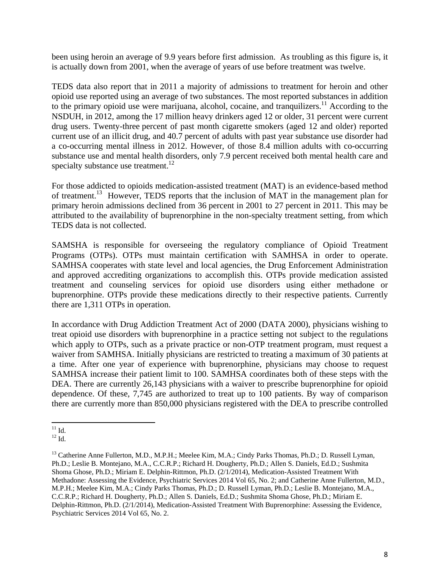been using heroin an average of 9.9 years before first admission. As troubling as this figure is, it is actually down from 2001, when the average of years of use before treatment was twelve.

TEDS data also report that in 2011 a majority of admissions to treatment for heroin and other opioid use reported using an average of two substances. The most reported substances in addition to the primary opioid use were marijuana, alcohol, cocaine, and tranquilizers.<sup>11</sup> According to the NSDUH, in 2012, among the 17 million heavy drinkers aged 12 or older, 31 percent were current drug users. Twenty-three percent of past month cigarette smokers (aged 12 and older) reported current use of an illicit drug, and 40.7 percent of adults with past year substance use disorder had a co-occurring mental illness in 2012. However, of those 8.4 million adults with co-occurring substance use and mental health disorders, only 7.9 percent received both mental health care and specialty substance use treatment. $12$ 

For those addicted to opioids medication-assisted treatment (MAT) is an evidence-based method of treatment.<sup>13</sup> However, TEDS reports that the inclusion of MAT in the management plan for primary heroin admissions declined from 36 percent in 2001 to 27 percent in 2011. This may be attributed to the availability of buprenorphine in the non-specialty treatment setting, from which TEDS data is not collected.

SAMSHA is responsible for overseeing the regulatory compliance of Opioid Treatment Programs (OTPs). OTPs must maintain certification with SAMHSA in order to operate. SAMHSA cooperates with state level and local agencies, the Drug Enforcement Administration and approved accrediting organizations to accomplish this. OTPs provide medication assisted treatment and counseling services for opioid use disorders using either methadone or buprenorphine. OTPs provide these medications directly to their respective patients. Currently there are 1,311 OTPs in operation.

In accordance with Drug Addiction Treatment Act of 2000 (DATA 2000), physicians wishing to treat opioid use disorders with buprenorphine in a practice setting not subject to the regulations which apply to OTPs, such as a private practice or non-OTP treatment program, must request a waiver from SAMHSA. Initially physicians are restricted to treating a maximum of 30 patients at a time. After one year of experience with buprenorphine, physicians may choose to request SAMHSA increase their patient limit to 100. SAMHSA coordinates both of these steps with the DEA. There are currently 26,143 physicians with a waiver to prescribe buprenorphine for opioid dependence. Of these, 7,745 are authorized to treat up to 100 patients. By way of comparison there are currently more than 850,000 physicians registered with the DEA to prescribe controlled

  $^{11}$  Id.

 $12$  Id.

<sup>&</sup>lt;sup>13</sup> Catherine Anne Fullerton, M.D., M.P.H.; Meelee Kim, M.A.; Cindy Parks Thomas, Ph.D.; D. Russell Lyman, Ph.D.; Leslie B. Montejano, M.A., C.C.R.P.; Richard H. Dougherty, Ph.D.; Allen S. Daniels, Ed.D.; Sushmita Shoma Ghose, Ph.D.; Miriam E. Delphin-Rittmon, Ph.D. (2/1/2014), Medication-Assisted Treatment With Methadone: Assessing the Evidence, Psychiatric Services 2014 Vol 65, No. 2; and Catherine Anne Fullerton, M.D., M.P.H.; Meelee Kim, M.A.; Cindy Parks Thomas, Ph.D.; D. Russell Lyman, Ph.D.; Leslie B. Montejano, M.A., C.C.R.P.; Richard H. Dougherty, Ph.D.; Allen S. Daniels, Ed.D.; Sushmita Shoma Ghose, Ph.D.; Miriam E. Delphin-Rittmon, Ph.D. (2/1/2014), Medication-Assisted Treatment With Buprenorphine: Assessing the Evidence, Psychiatric Services 2014 Vol 65, No. 2.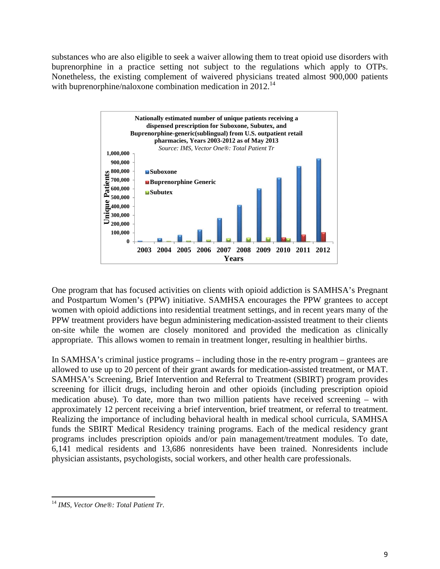substances who are also eligible to seek a waiver allowing them to treat opioid use disorders with buprenorphine in a practice setting not subject to the regulations which apply to OTPs. Nonetheless, the existing complement of waivered physicians treated almost 900,000 patients with buprenorphine/naloxone combination medication in 2012.<sup>14</sup>



One program that has focused activities on clients with opioid addiction is SAMHSA's Pregnant and Postpartum Women's (PPW) initiative. SAMHSA encourages the PPW grantees to accept women with opioid addictions into residential treatment settings, and in recent years many of the PPW treatment providers have begun administering medication-assisted treatment to their clients on-site while the women are closely monitored and provided the medication as clinically appropriate. This allows women to remain in treatment longer, resulting in healthier births.

In SAMHSA's criminal justice programs – including those in the re-entry program – grantees are allowed to use up to 20 percent of their grant awards for medication-assisted treatment, or MAT. SAMHSA's Screening, Brief Intervention and Referral to Treatment (SBIRT) program provides screening for illicit drugs, including heroin and other opioids (including prescription opioid medication abuse). To date, more than two million patients have received screening – with approximately 12 percent receiving a brief intervention, brief treatment, or referral to treatment. Realizing the importance of including behavioral health in medical school curricula, SAMHSA funds the SBIRT Medical Residency training programs. Each of the medical residency grant programs includes prescription opioids and/or pain management/treatment modules. To date, 6,141 medical residents and 13,686 nonresidents have been trained. Nonresidents include physician assistants, psychologists, social workers, and other health care professionals.

 <sup>14</sup> *IMS, Vector One®: Total Patient Tr*.